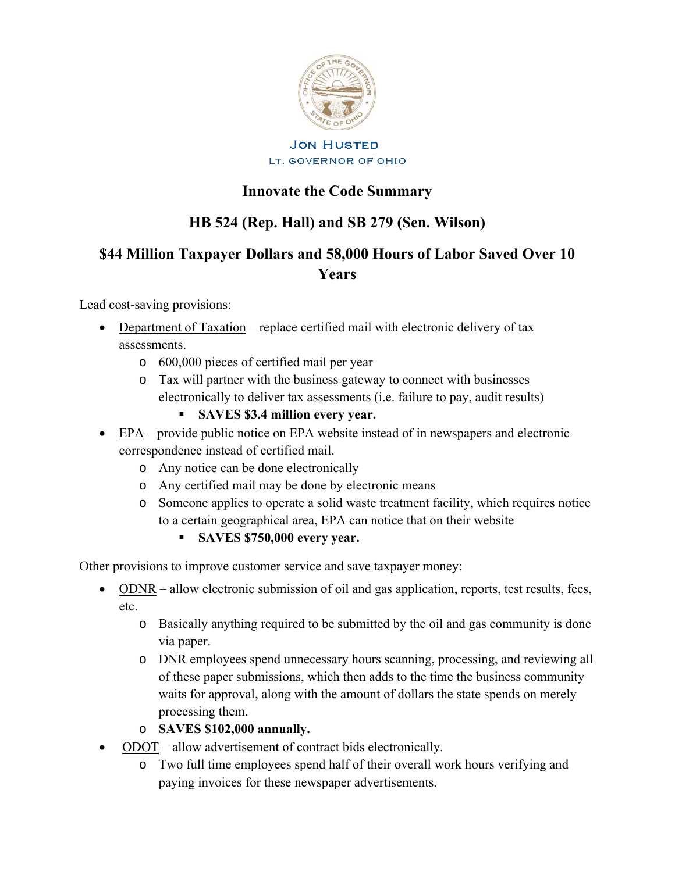

# **JON HUSTED** LT. GOVERNOR OF OHIO

# **Innovate the Code Summary**

# **HB 524 (Rep. Hall) and SB 279 (Sen. Wilson)**

# **\$44 Million Taxpayer Dollars and 58,000 Hours of Labor Saved Over 10 Years**

Lead cost-saving provisions:

- Department of Taxation replace certified mail with electronic delivery of tax assessments.
	- o 600,000 pieces of certified mail per year
	- o Tax will partner with the business gateway to connect with businesses electronically to deliver tax assessments (i.e. failure to pay, audit results)
		- **SAVES \$3.4 million every year.**
- EPA provide public notice on EPA website instead of in newspapers and electronic correspondence instead of certified mail.
	- o Any notice can be done electronically
	- o Any certified mail may be done by electronic means
	- o Someone applies to operate a solid waste treatment facility, which requires notice to a certain geographical area, EPA can notice that on their website
		- **SAVES \$750,000 every year.**

Other provisions to improve customer service and save taxpayer money:

- ODNR allow electronic submission of oil and gas application, reports, test results, fees, etc.
	- o Basically anything required to be submitted by the oil and gas community is done via paper.
	- o DNR employees spend unnecessary hours scanning, processing, and reviewing all of these paper submissions, which then adds to the time the business community waits for approval, along with the amount of dollars the state spends on merely processing them.
	- o **SAVES \$102,000 annually.**
- ODOT allow advertisement of contract bids electronically.
	- o Two full time employees spend half of their overall work hours verifying and paying invoices for these newspaper advertisements.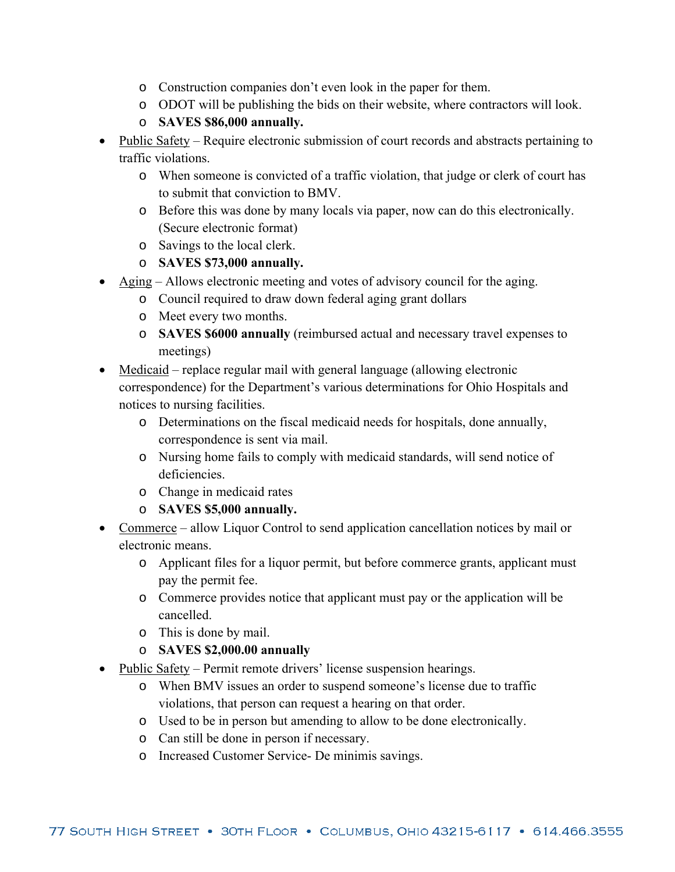- o Construction companies don't even look in the paper for them.
- o ODOT will be publishing the bids on their website, where contractors will look.

# o **SAVES \$86,000 annually.**

- Public Safety Require electronic submission of court records and abstracts pertaining to traffic violations.
	- o When someone is convicted of a traffic violation, that judge or clerk of court has to submit that conviction to BMV.
	- o Before this was done by many locals via paper, now can do this electronically. (Secure electronic format)
	- o Savings to the local clerk.
	- o **SAVES \$73,000 annually.**
- Aging Allows electronic meeting and votes of advisory council for the aging.
	- o Council required to draw down federal aging grant dollars
	- o Meet every two months.
	- o **SAVES \$6000 annually** (reimbursed actual and necessary travel expenses to meetings)
- Medicaid replace regular mail with general language (allowing electronic correspondence) for the Department's various determinations for Ohio Hospitals and notices to nursing facilities.
	- o Determinations on the fiscal medicaid needs for hospitals, done annually, correspondence is sent via mail.
	- o Nursing home fails to comply with medicaid standards, will send notice of deficiencies.
	- o Change in medicaid rates
	- o **SAVES \$5,000 annually.**
- Commerce allow Liquor Control to send application cancellation notices by mail or electronic means.
	- o Applicant files for a liquor permit, but before commerce grants, applicant must pay the permit fee.
	- o Commerce provides notice that applicant must pay or the application will be cancelled.
	- o This is done by mail.
	- o **SAVES \$2,000.00 annually**
- Public Safety Permit remote drivers' license suspension hearings.
	- o When BMV issues an order to suspend someone's license due to traffic violations, that person can request a hearing on that order.
	- o Used to be in person but amending to allow to be done electronically.
	- o Can still be done in person if necessary.
	- o Increased Customer Service- De minimis savings.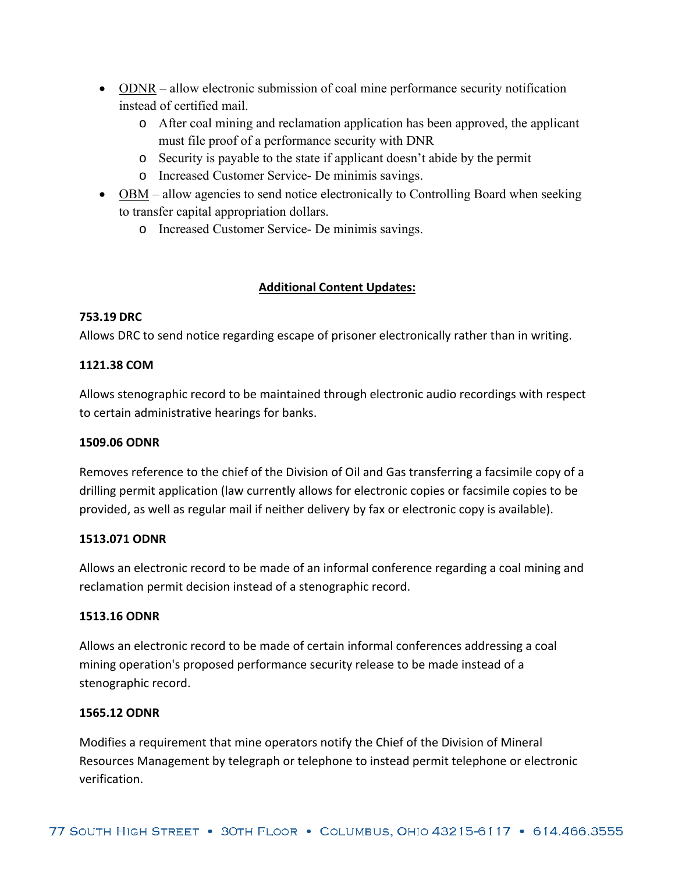- ODNR allow electronic submission of coal mine performance security notification instead of certified mail.
	- o After coal mining and reclamation application has been approved, the applicant must file proof of a performance security with DNR
	- o Security is payable to the state if applicant doesn't abide by the permit
	- o Increased Customer Service- De minimis savings.
- OBM allow agencies to send notice electronically to Controlling Board when seeking to transfer capital appropriation dollars.
	- o Increased Customer Service- De minimis savings.

# **Additional Content Updates:**

# **753.19 DRC**

Allows DRC to send notice regarding escape of prisoner electronically rather than in writing.

# **1121.38 COM**

Allows stenographic record to be maintained through electronic audio recordings with respect to certain administrative hearings for banks.

# **1509.06 ODNR**

Removes reference to the chief of the Division of Oil and Gas transferring a facsimile copy of a drilling permit application (law currently allows for electronic copies or facsimile copies to be provided, as well as regular mail if neither delivery by fax or electronic copy is available).

# **1513.071 ODNR**

Allows an electronic record to be made of an informal conference regarding a coal mining and reclamation permit decision instead of a stenographic record.

# **1513.16 ODNR**

Allows an electronic record to be made of certain informal conferences addressing a coal mining operation's proposed performance security release to be made instead of a stenographic record.

# **1565.12 ODNR**

Modifies a requirement that mine operators notify the Chief of the Division of Mineral Resources Management by telegraph or telephone to instead permit telephone or electronic verification.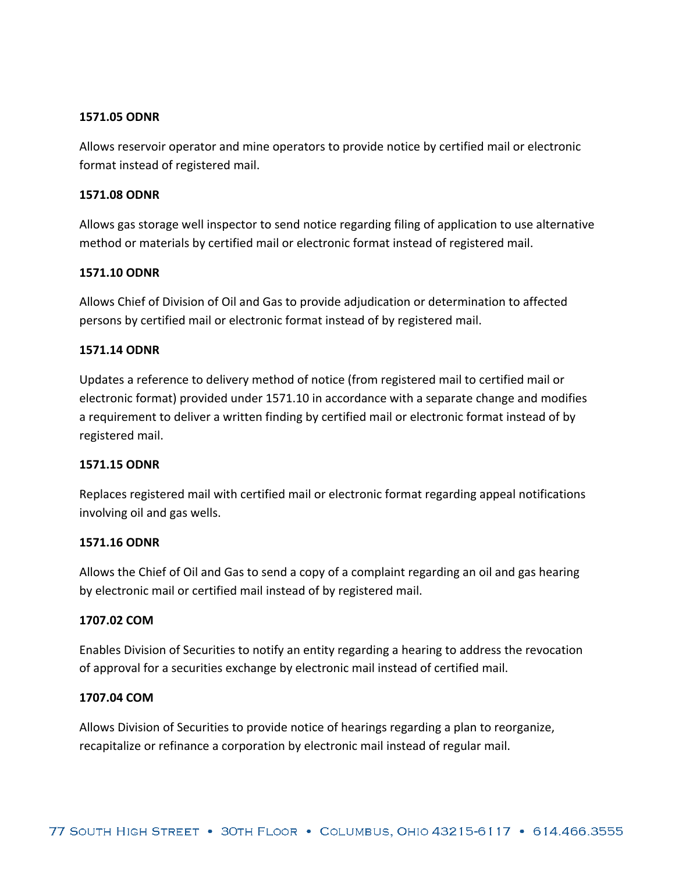## **1571.05 ODNR**

Allows reservoir operator and mine operators to provide notice by certified mail or electronic format instead of registered mail.

#### **1571.08 ODNR**

Allows gas storage well inspector to send notice regarding filing of application to use alternative method or materials by certified mail or electronic format instead of registered mail.

#### **1571.10 ODNR**

Allows Chief of Division of Oil and Gas to provide adjudication or determination to affected persons by certified mail or electronic format instead of by registered mail.

#### **1571.14 ODNR**

Updates a reference to delivery method of notice (from registered mail to certified mail or electronic format) provided under 1571.10 in accordance with a separate change and modifies a requirement to deliver a written finding by certified mail or electronic format instead of by registered mail.

#### **1571.15 ODNR**

Replaces registered mail with certified mail or electronic format regarding appeal notifications involving oil and gas wells.

#### **1571.16 ODNR**

Allows the Chief of Oil and Gas to send a copy of a complaint regarding an oil and gas hearing by electronic mail or certified mail instead of by registered mail.

#### **1707.02 COM**

Enables Division of Securities to notify an entity regarding a hearing to address the revocation of approval for a securities exchange by electronic mail instead of certified mail.

#### **1707.04 COM**

Allows Division of Securities to provide notice of hearings regarding a plan to reorganize, recapitalize or refinance a corporation by electronic mail instead of regular mail.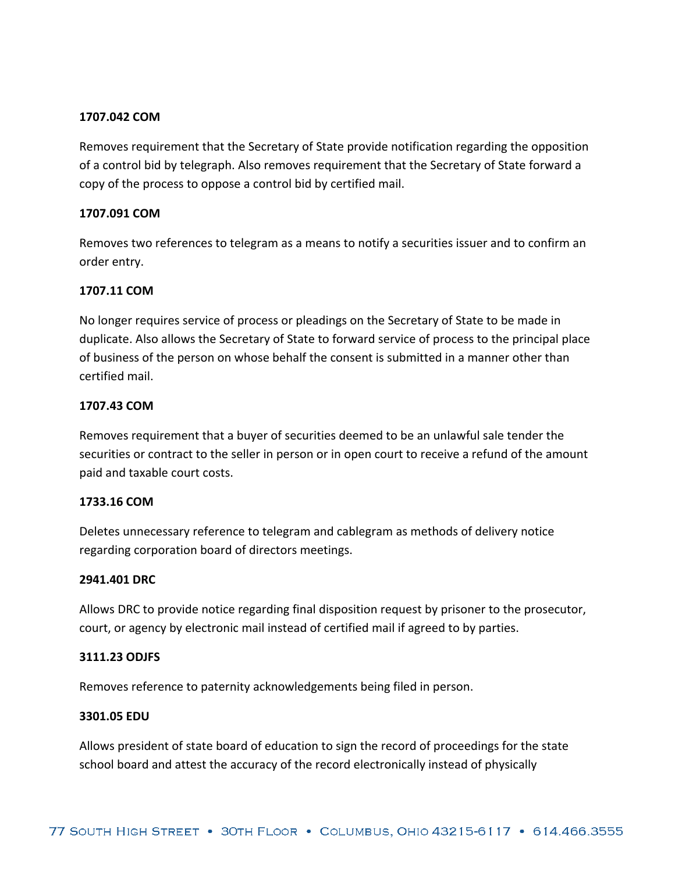## **1707.042 COM**

Removes requirement that the Secretary of State provide notification regarding the opposition of a control bid by telegraph. Also removes requirement that the Secretary of State forward a copy of the process to oppose a control bid by certified mail.

## **1707.091 COM**

Removes two references to telegram as a means to notify a securities issuer and to confirm an order entry.

## **1707.11 COM**

No longer requires service of process or pleadings on the Secretary of State to be made in duplicate. Also allows the Secretary of State to forward service of process to the principal place of business of the person on whose behalf the consent is submitted in a manner other than certified mail.

## **1707.43 COM**

Removes requirement that a buyer of securities deemed to be an unlawful sale tender the securities or contract to the seller in person or in open court to receive a refund of the amount paid and taxable court costs.

## **1733.16 COM**

Deletes unnecessary reference to telegram and cablegram as methods of delivery notice regarding corporation board of directors meetings.

#### **2941.401 DRC**

Allows DRC to provide notice regarding final disposition request by prisoner to the prosecutor, court, or agency by electronic mail instead of certified mail if agreed to by parties.

#### **3111.23 ODJFS**

Removes reference to paternity acknowledgements being filed in person.

### **3301.05 EDU**

Allows president of state board of education to sign the record of proceedings for the state school board and attest the accuracy of the record electronically instead of physically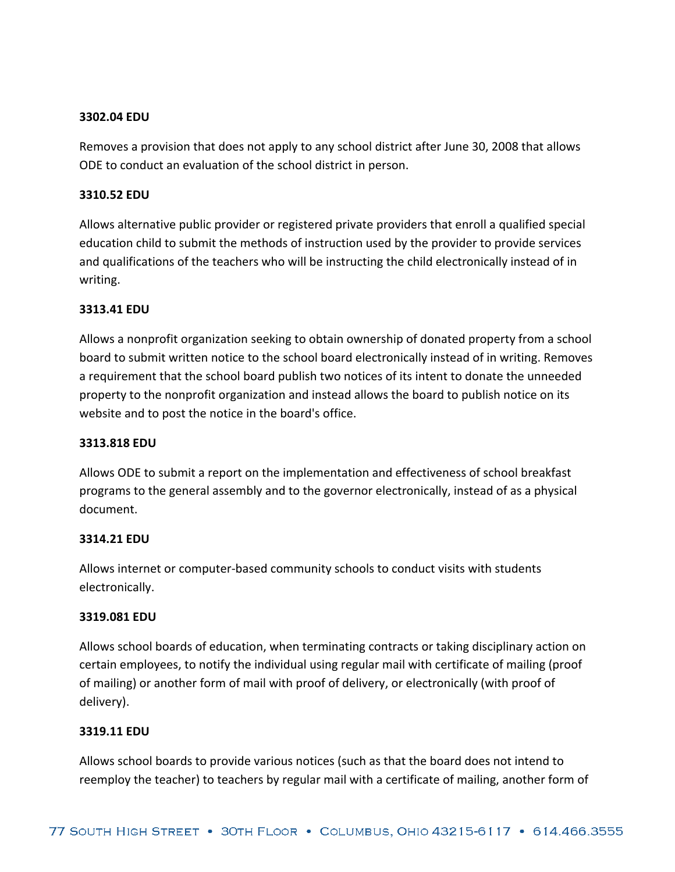## **3302.04 EDU**

Removes a provision that does not apply to any school district after June 30, 2008 that allows ODE to conduct an evaluation of the school district in person.

## **3310.52 EDU**

Allows alternative public provider or registered private providers that enroll a qualified special education child to submit the methods of instruction used by the provider to provide services and qualifications of the teachers who will be instructing the child electronically instead of in writing.

## **3313.41 EDU**

Allows a nonprofit organization seeking to obtain ownership of donated property from a school board to submit written notice to the school board electronically instead of in writing. Removes a requirement that the school board publish two notices of its intent to donate the unneeded property to the nonprofit organization and instead allows the board to publish notice on its website and to post the notice in the board's office.

## **3313.818 EDU**

Allows ODE to submit a report on the implementation and effectiveness of school breakfast programs to the general assembly and to the governor electronically, instead of as a physical document.

#### **3314.21 EDU**

Allows internet or computer‐based community schools to conduct visits with students electronically.

#### **3319.081 EDU**

Allows school boards of education, when terminating contracts or taking disciplinary action on certain employees, to notify the individual using regular mail with certificate of mailing (proof of mailing) or another form of mail with proof of delivery, or electronically (with proof of delivery).

#### **3319.11 EDU**

Allows school boards to provide various notices (such as that the board does not intend to reemploy the teacher) to teachers by regular mail with a certificate of mailing, another form of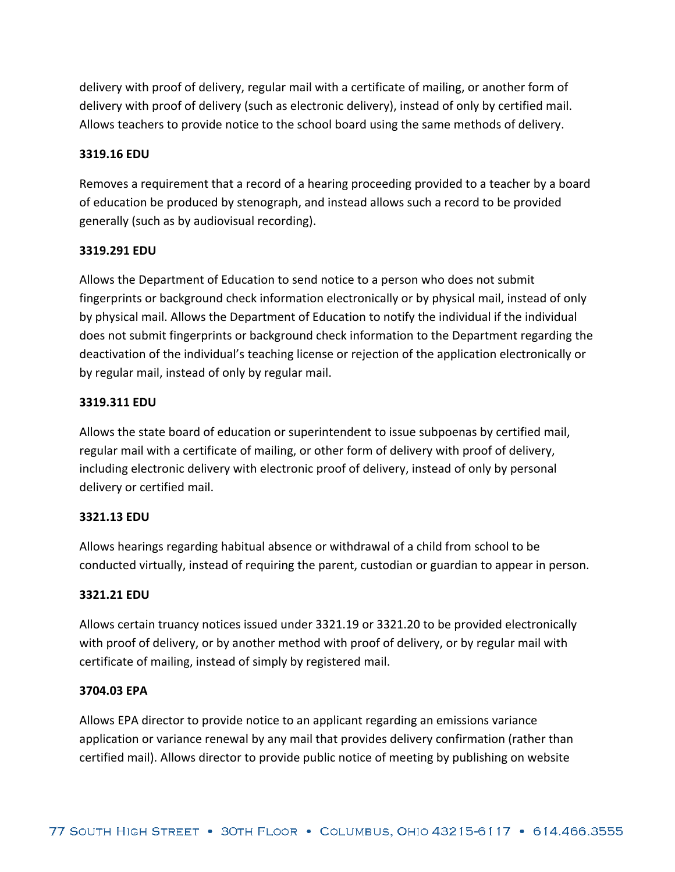delivery with proof of delivery, regular mail with a certificate of mailing, or another form of delivery with proof of delivery (such as electronic delivery), instead of only by certified mail. Allows teachers to provide notice to the school board using the same methods of delivery.

## **3319.16 EDU**

Removes a requirement that a record of a hearing proceeding provided to a teacher by a board of education be produced by stenograph, and instead allows such a record to be provided generally (such as by audiovisual recording).

#### **3319.291 EDU**

Allows the Department of Education to send notice to a person who does not submit fingerprints or background check information electronically or by physical mail, instead of only by physical mail. Allows the Department of Education to notify the individual if the individual does not submit fingerprints or background check information to the Department regarding the deactivation of the individual's teaching license or rejection of the application electronically or by regular mail, instead of only by regular mail.

## **3319.311 EDU**

Allows the state board of education or superintendent to issue subpoenas by certified mail, regular mail with a certificate of mailing, or other form of delivery with proof of delivery, including electronic delivery with electronic proof of delivery, instead of only by personal delivery or certified mail.

# **3321.13 EDU**

Allows hearings regarding habitual absence or withdrawal of a child from school to be conducted virtually, instead of requiring the parent, custodian or guardian to appear in person.

#### **3321.21 EDU**

Allows certain truancy notices issued under 3321.19 or 3321.20 to be provided electronically with proof of delivery, or by another method with proof of delivery, or by regular mail with certificate of mailing, instead of simply by registered mail.

#### **3704.03 EPA**

Allows EPA director to provide notice to an applicant regarding an emissions variance application or variance renewal by any mail that provides delivery confirmation (rather than certified mail). Allows director to provide public notice of meeting by publishing on website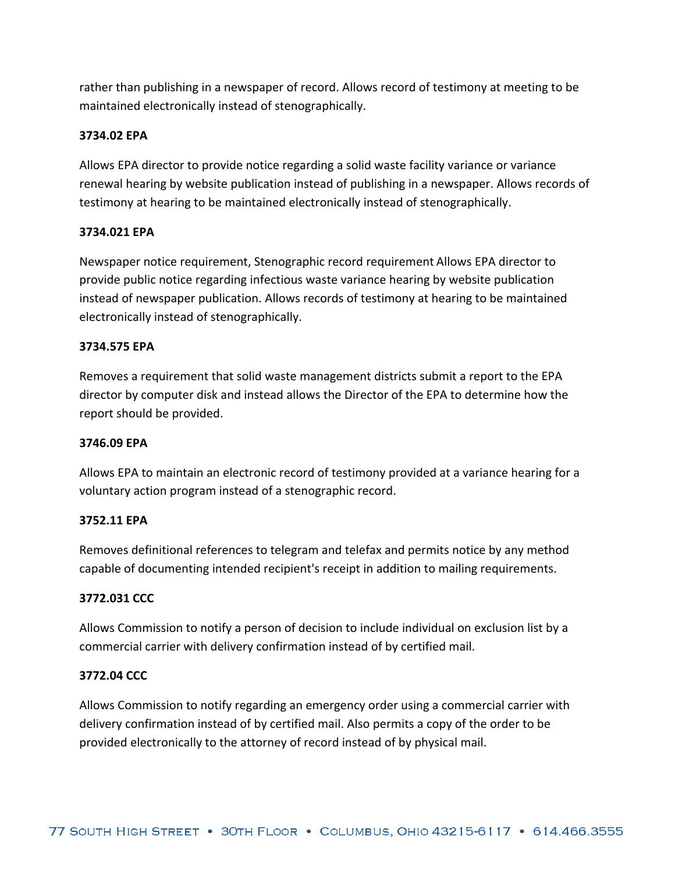rather than publishing in a newspaper of record. Allows record of testimony at meeting to be maintained electronically instead of stenographically.

## **3734.02 EPA**

Allows EPA director to provide notice regarding a solid waste facility variance or variance renewal hearing by website publication instead of publishing in a newspaper. Allows records of testimony at hearing to be maintained electronically instead of stenographically.

## **3734.021 EPA**

Newspaper notice requirement, Stenographic record requirement Allows EPA director to provide public notice regarding infectious waste variance hearing by website publication instead of newspaper publication. Allows records of testimony at hearing to be maintained electronically instead of stenographically.

## **3734.575 EPA**

Removes a requirement that solid waste management districts submit a report to the EPA director by computer disk and instead allows the Director of the EPA to determine how the report should be provided.

## **3746.09 EPA**

Allows EPA to maintain an electronic record of testimony provided at a variance hearing for a voluntary action program instead of a stenographic record.

# **3752.11 EPA**

Removes definitional references to telegram and telefax and permits notice by any method capable of documenting intended recipient's receipt in addition to mailing requirements.

#### **3772.031 CCC**

Allows Commission to notify a person of decision to include individual on exclusion list by a commercial carrier with delivery confirmation instead of by certified mail.

#### **3772.04 CCC**

Allows Commission to notify regarding an emergency order using a commercial carrier with delivery confirmation instead of by certified mail. Also permits a copy of the order to be provided electronically to the attorney of record instead of by physical mail.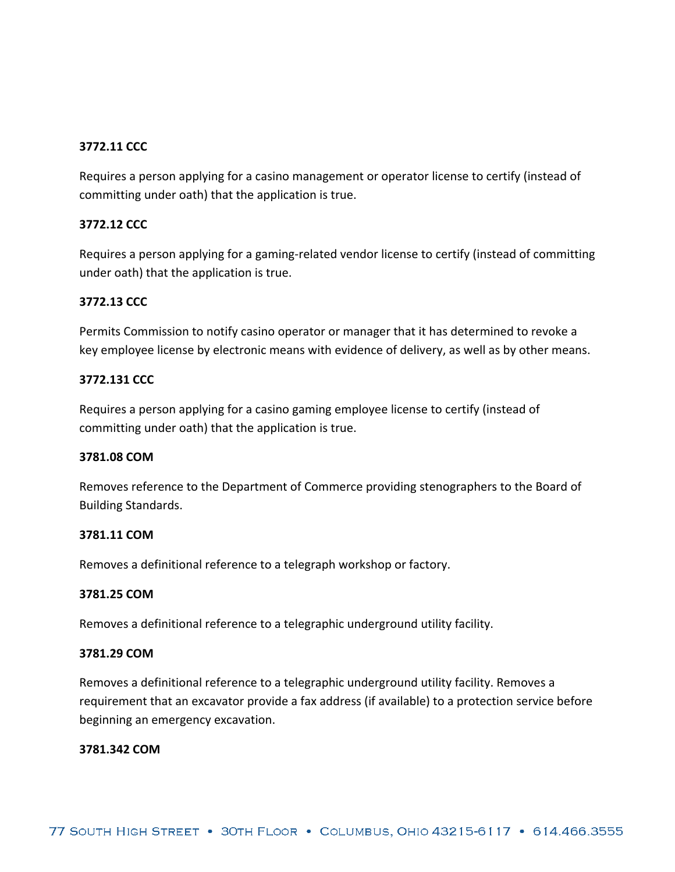# **3772.11 CCC**

Requires a person applying for a casino management or operator license to certify (instead of committing under oath) that the application is true.

## **3772.12 CCC**

Requires a person applying for a gaming‐related vendor license to certify (instead of committing under oath) that the application is true.

## **3772.13 CCC**

Permits Commission to notify casino operator or manager that it has determined to revoke a key employee license by electronic means with evidence of delivery, as well as by other means.

#### **3772.131 CCC**

Requires a person applying for a casino gaming employee license to certify (instead of committing under oath) that the application is true.

#### **3781.08 COM**

Removes reference to the Department of Commerce providing stenographers to the Board of Building Standards.

#### **3781.11 COM**

Removes a definitional reference to a telegraph workshop or factory.

#### **3781.25 COM**

Removes a definitional reference to a telegraphic underground utility facility.

## **3781.29 COM**

Removes a definitional reference to a telegraphic underground utility facility. Removes a requirement that an excavator provide a fax address (if available) to a protection service before beginning an emergency excavation.

#### **3781.342 COM**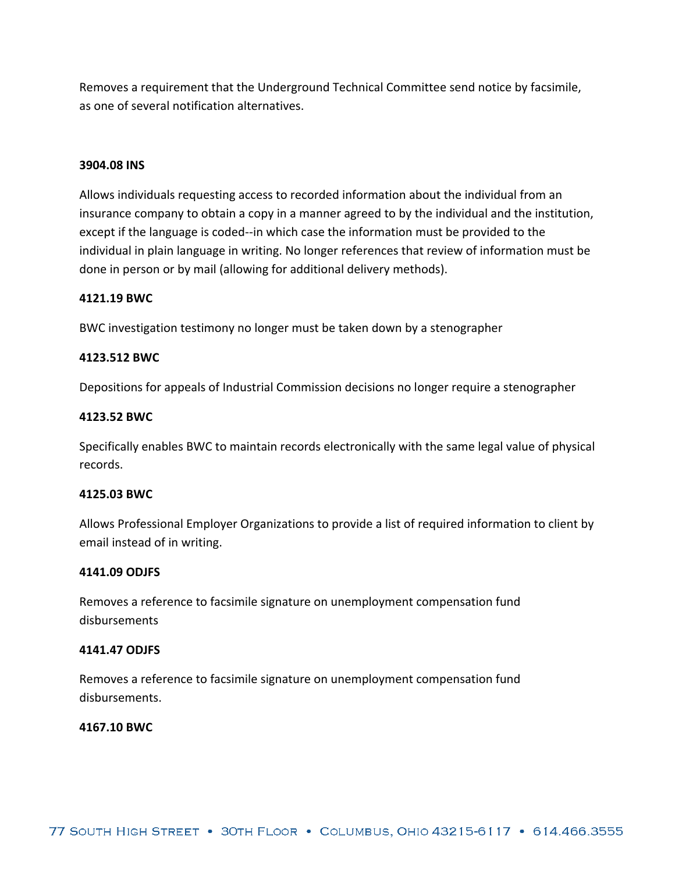Removes a requirement that the Underground Technical Committee send notice by facsimile, as one of several notification alternatives.

#### **3904.08 INS**

Allows individuals requesting access to recorded information about the individual from an insurance company to obtain a copy in a manner agreed to by the individual and the institution, except if the language is coded‐‐in which case the information must be provided to the individual in plain language in writing. No longer references that review of information must be done in person or by mail (allowing for additional delivery methods).

#### **4121.19 BWC**

BWC investigation testimony no longer must be taken down by a stenographer

#### **4123.512 BWC**

Depositions for appeals of Industrial Commission decisions no longer require a stenographer

#### **4123.52 BWC**

Specifically enables BWC to maintain records electronically with the same legal value of physical records.

#### **4125.03 BWC**

Allows Professional Employer Organizations to provide a list of required information to client by email instead of in writing.

#### **4141.09 ODJFS**

Removes a reference to facsimile signature on unemployment compensation fund disbursements

#### **4141.47 ODJFS**

Removes a reference to facsimile signature on unemployment compensation fund disbursements.

#### **4167.10 BWC**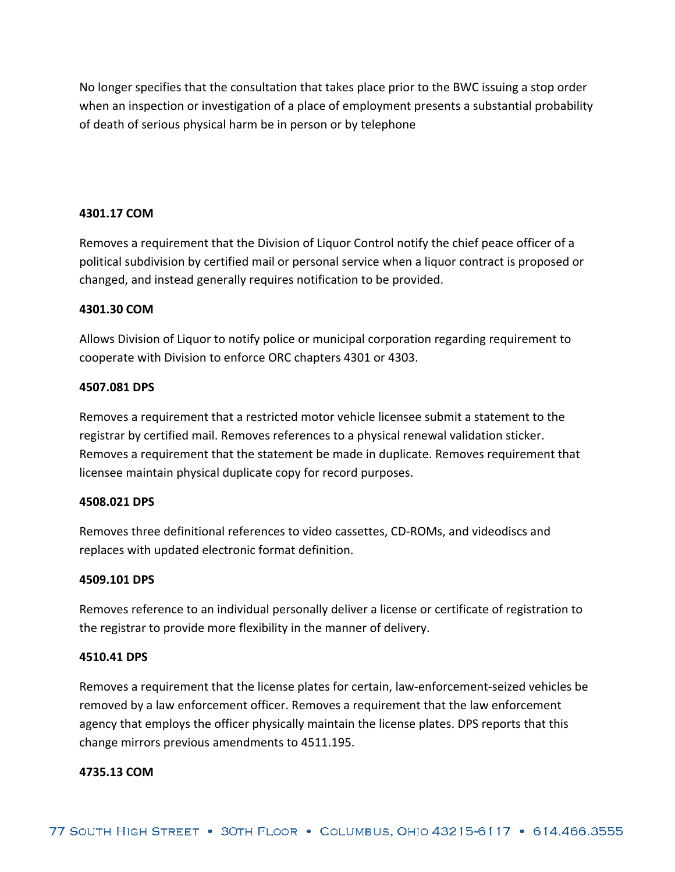No longer specifies that the consultation that takes place prior to the BWC issuing a stop order when an inspection or investigation of a place of employment presents a substantial probability of death of serious physical harm be in person or by telephone

#### **4301.17 COM**

Removes a requirement that the Division of Liquor Control notify the chief peace officer of a political subdivision by certified mail or personal service when a liquor contract is proposed or changed, and instead generally requires notification to be provided.

#### **4301.30 COM**

Allows Division of Liquor to notify police or municipal corporation regarding requirement to cooperate with Division to enforce ORC chapters 4301 or 4303.

#### **4507.081 DPS**

Removes a requirement that a restricted motor vehicle licensee submit a statement to the registrar by certified mail. Removes references to a physical renewal validation sticker. Removes a requirement that the statement be made in duplicate. Removes requirement that licensee maintain physical duplicate copy for record purposes.

#### **4508.021 DPS**

Removes three definitional references to video cassettes, CD‐ROMs, and videodiscs and replaces with updated electronic format definition.

#### **4509.101 DPS**

Removes reference to an individual personally deliver a license or certificate of registration to the registrar to provide more flexibility in the manner of delivery.

#### **4510.41 DPS**

Removes a requirement that the license plates for certain, law‐enforcement‐seized vehicles be removed by a law enforcement officer. Removes a requirement that the law enforcement agency that employs the officer physically maintain the license plates. DPS reports that this change mirrors previous amendments to 4511.195.

#### **4735.13 COM**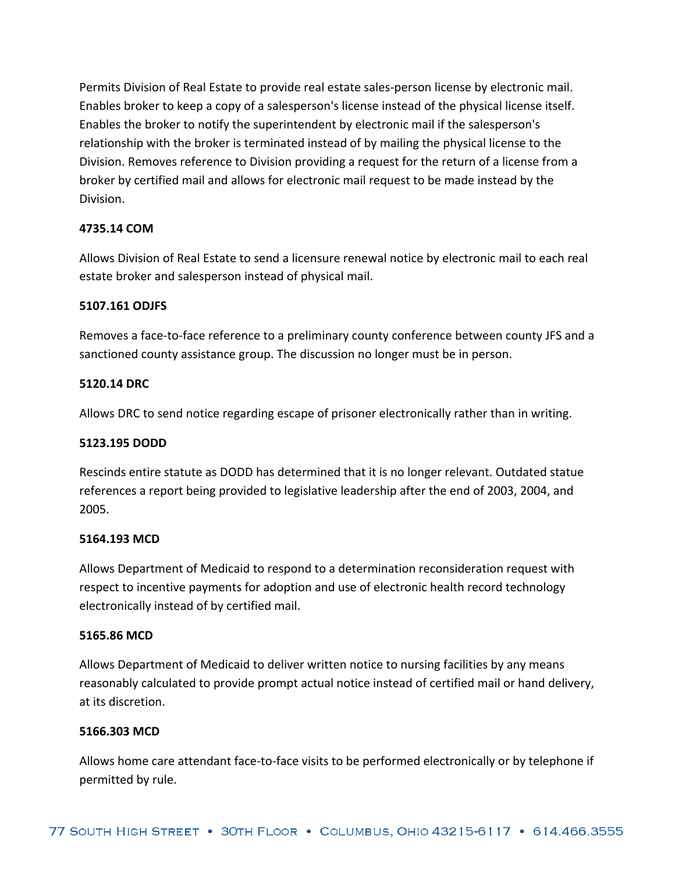Permits Division of Real Estate to provide real estate sales‐person license by electronic mail. Enables broker to keep a copy of a salesperson's license instead of the physical license itself. Enables the broker to notify the superintendent by electronic mail if the salesperson's relationship with the broker is terminated instead of by mailing the physical license to the Division. Removes reference to Division providing a request for the return of a license from a broker by certified mail and allows for electronic mail request to be made instead by the Division.

## **4735.14 COM**

Allows Division of Real Estate to send a licensure renewal notice by electronic mail to each real estate broker and salesperson instead of physical mail.

## **5107.161 ODJFS**

Removes a face‐to‐face reference to a preliminary county conference between county JFS and a sanctioned county assistance group. The discussion no longer must be in person.

## **5120.14 DRC**

Allows DRC to send notice regarding escape of prisoner electronically rather than in writing.

## **5123.195 DODD**

Rescinds entire statute as DODD has determined that it is no longer relevant. Outdated statue references a report being provided to legislative leadership after the end of 2003, 2004, and 2005.

#### **5164.193 MCD**

Allows Department of Medicaid to respond to a determination reconsideration request with respect to incentive payments for adoption and use of electronic health record technology electronically instead of by certified mail.

#### **5165.86 MCD**

Allows Department of Medicaid to deliver written notice to nursing facilities by any means reasonably calculated to provide prompt actual notice instead of certified mail or hand delivery, at its discretion.

#### **5166.303 MCD**

Allows home care attendant face‐to‐face visits to be performed electronically or by telephone if permitted by rule.